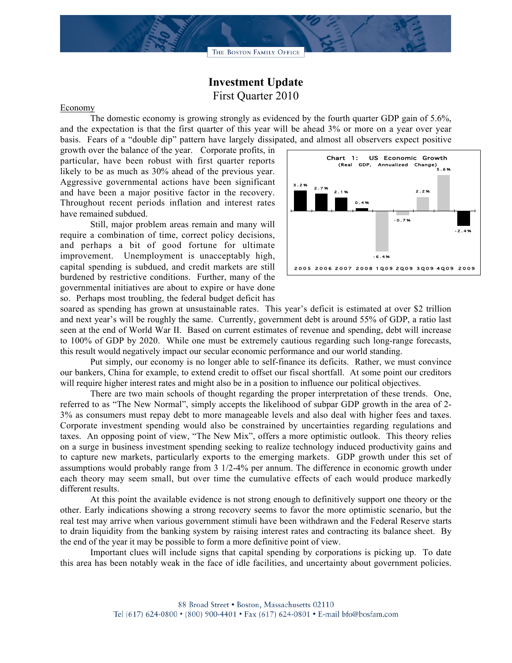THE BOSTON FAMILY OFFICE

## **Investment Update** First Quarter 2010

## Economy

The domestic economy is growing strongly as evidenced by the fourth quarter GDP gain of 5.6%, and the expectation is that the first quarter of this year will be ahead 3% or more on a year over year basis. Fears of a "double dip" pattern have largely dissipated, and almost all observers expect positive

growth over the balance of the year. Corporate profits, in particular, have been robust with first quarter reports likely to be as much as 30% ahead of the previous year. Aggressive governmental actions have been significant and have been a major positive factor in the recovery. Throughout recent periods inflation and interest rates have remained subdued.

Still, major problem areas remain and many will require a combination of time, correct policy decisions, and perhaps a bit of good fortune for ultimate improvement. Unemployment is unacceptably high, capital spending is subdued, and credit markets are still burdened by restrictive conditions. Further, many of the governmental initiatives are about to expire or have done so. Perhaps most troubling, the federal budget deficit has



soared as spending has grown at unsustainable rates. This year's deficit is estimated at over \$2 trillion and next year's will be roughly the same. Currently, government debt is around 55% of GDP, a ratio last seen at the end of World War II. Based on current estimates of revenue and spending, debt will increase to 100% of GDP by 2020. While one must be extremely cautious regarding such long-range forecasts, this result would negatively impact our secular economic performance and our world standing.

Put simply, our economy is no longer able to self-finance its deficits. Rather, we must convince our bankers, China for example, to extend credit to offset our fiscal shortfall. At some point our creditors will require higher interest rates and might also be in a position to influence our political objectives.

There are two main schools of thought regarding the proper interpretation of these trends. One, referred to as "The New Normal", simply accepts the likelihood of subpar GDP growth in the area of 2- 3% as consumers must repay debt to more manageable levels and also deal with higher fees and taxes. Corporate investment spending would also be constrained by uncertainties regarding regulations and taxes. An opposing point of view, "The New Mix", offers a more optimistic outlook. This theory relies on a surge in business investment spending seeking to realize technology induced productivity gains and to capture new markets, particularly exports to the emerging markets. GDP growth under this set of assumptions would probably range from 3 1/2-4% per annum. The difference in economic growth under each theory may seem small, but over time the cumulative effects of each would produce markedly different results.

At this point the available evidence is not strong enough to definitively support one theory or the other. Early indications showing a strong recovery seems to favor the more optimistic scenario, but the real test may arrive when various government stimuli have been withdrawn and the Federal Reserve starts to drain liquidity from the banking system by raising interest rates and contracting its balance sheet. By the end of the year it may be possible to form a more definitive point of view.

Important clues will include signs that capital spending by corporations is picking up. To date this area has been notably weak in the face of idle facilities, and uncertainty about government policies.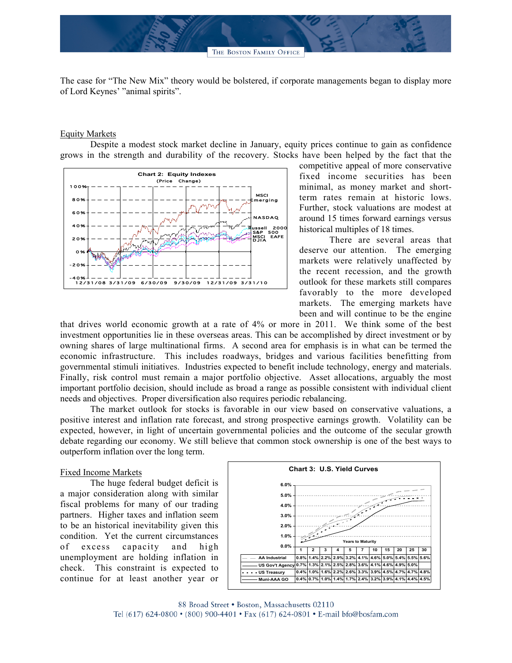THE BOSTON FAMILY OFFICE

The case for "The New Mix" theory would be bolstered, if corporate managements began to display more of Lord Keynes' "animal spirits".

## Equity Markets

Despite a modest stock market decline in January, equity prices continue to gain as confidence grows in the strength and durability of the recovery. Stocks have been helped by the fact that the



competitive appeal of more conservative fixed income securities has been minimal, as money market and shortterm rates remain at historic lows. Further, stock valuations are modest at around 15 times forward earnings versus historical multiples of 18 times.

There are several areas that deserve our attention. The emerging markets were relatively unaffected by the recent recession, and the growth outlook for these markets still compares favorably to the more developed markets. The emerging markets have been and will continue to be the engine

that drives world economic growth at a rate of 4% or more in 2011. We think some of the best investment opportunities lie in these overseas areas. This can be accomplished by direct investment or by owning shares of large multinational firms. A second area for emphasis is in what can be termed the economic infrastructure. This includes roadways, bridges and various facilities benefitting from governmental stimuli initiatives. Industries expected to benefit include technology, energy and materials. Finally, risk control must remain a major portfolio objective. Asset allocations, arguably the most important portfolio decision, should include as broad a range as possible consistent with individual client needs and objectives. Proper diversification also requires periodic rebalancing.

The market outlook for stocks is favorable in our view based on conservative valuations, a positive interest and inflation rate forecast, and strong prospective earnings growth. Volatility can be expected, however, in light of uncertain governmental policies and the outcome of the secular growth debate regarding our economy. We still believe that common stock ownership is one of the best ways to outperform inflation over the long term.

## Fixed Income Markets

The huge federal budget deficit is a major consideration along with similar fiscal problems for many of our trading partners. Higher taxes and inflation seem to be an historical inevitability given this condition. Yet the current circumstances of excess capacity and high unemployment are holding inflation in check. This constraint is expected to continue for at least another year or